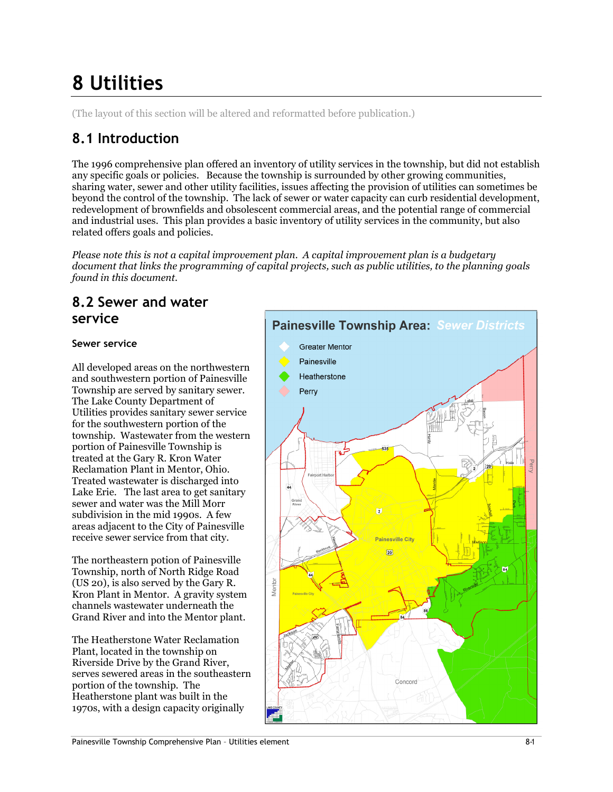# 8 Utilities

(The layout of this section will be altered and reformatted before publication.)

## 8.1 Introduction

The 1996 comprehensive plan offered an inventory of utility services in the township, but did not establish any specific goals or policies. Because the township is surrounded by other growing communities, sharing water, sewer and other utility facilities, issues affecting the provision of utilities can sometimes be beyond the control of the township. The lack of sewer or water capacity can curb residential development, redevelopment of brownfields and obsolescent commercial areas, and the potential range of commercial and industrial uses. This plan provides a basic inventory of utility services in the community, but also related offers goals and policies.

Please note this is not a capital improvement plan. A capital improvement plan is a budgetary document that links the programming of capital projects, such as public utilities, to the planning goals found in this document.

### 8.2 Sewer and water service

### Sewer service

All developed areas on the northwestern and southwestern portion of Painesville Township are served by sanitary sewer. The Lake County Department of Utilities provides sanitary sewer service for the southwestern portion of the township. Wastewater from the western portion of Painesville Township is treated at the Gary R. Kron Water Reclamation Plant in Mentor, Ohio. Treated wastewater is discharged into Lake Erie. The last area to get sanitary sewer and water was the Mill Morr subdivision in the mid 1990s. A few areas adjacent to the City of Painesville receive sewer service from that city.

The northeastern potion of Painesville Township, north of North Ridge Road (US 20), is also served by the Gary R. Kron Plant in Mentor. A gravity system channels wastewater underneath the Grand River and into the Mentor plant.

The Heatherstone Water Reclamation Plant, located in the township on Riverside Drive by the Grand River, serves sewered areas in the southeastern portion of the township. The Heatherstone plant was built in the 1970s, with a design capacity originally

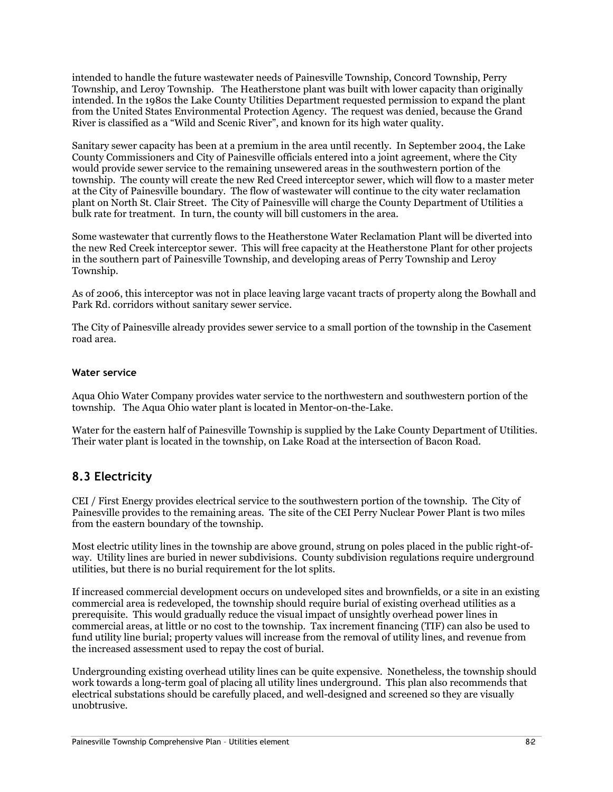intended to handle the future wastewater needs of Painesville Township, Concord Township, Perry Township, and Leroy Township. The Heatherstone plant was built with lower capacity than originally intended. In the 1980s the Lake County Utilities Department requested permission to expand the plant from the United States Environmental Protection Agency. The request was denied, because the Grand River is classified as a "Wild and Scenic River", and known for its high water quality.

Sanitary sewer capacity has been at a premium in the area until recently. In September 2004, the Lake County Commissioners and City of Painesville officials entered into a joint agreement, where the City would provide sewer service to the remaining unsewered areas in the southwestern portion of the township. The county will create the new Red Creed interceptor sewer, which will flow to a master meter at the City of Painesville boundary. The flow of wastewater will continue to the city water reclamation plant on North St. Clair Street. The City of Painesville will charge the County Department of Utilities a bulk rate for treatment. In turn, the county will bill customers in the area.

Some wastewater that currently flows to the Heatherstone Water Reclamation Plant will be diverted into the new Red Creek interceptor sewer. This will free capacity at the Heatherstone Plant for other projects in the southern part of Painesville Township, and developing areas of Perry Township and Leroy Township.

As of 2006, this interceptor was not in place leaving large vacant tracts of property along the Bowhall and Park Rd. corridors without sanitary sewer service.

The City of Painesville already provides sewer service to a small portion of the township in the Casement road area.

#### Water service

Aqua Ohio Water Company provides water service to the northwestern and southwestern portion of the township. The Aqua Ohio water plant is located in Mentor-on-the-Lake.

Water for the eastern half of Painesville Township is supplied by the Lake County Department of Utilities. Their water plant is located in the township, on Lake Road at the intersection of Bacon Road.

### 8.3 Electricity

CEI / First Energy provides electrical service to the southwestern portion of the township. The City of Painesville provides to the remaining areas. The site of the CEI Perry Nuclear Power Plant is two miles from the eastern boundary of the township.

Most electric utility lines in the township are above ground, strung on poles placed in the public right-ofway. Utility lines are buried in newer subdivisions. County subdivision regulations require underground utilities, but there is no burial requirement for the lot splits.

If increased commercial development occurs on undeveloped sites and brownfields, or a site in an existing commercial area is redeveloped, the township should require burial of existing overhead utilities as a prerequisite. This would gradually reduce the visual impact of unsightly overhead power lines in commercial areas, at little or no cost to the township. Tax increment financing (TIF) can also be used to fund utility line burial; property values will increase from the removal of utility lines, and revenue from the increased assessment used to repay the cost of burial.

Undergrounding existing overhead utility lines can be quite expensive. Nonetheless, the township should work towards a long-term goal of placing all utility lines underground. This plan also recommends that electrical substations should be carefully placed, and well-designed and screened so they are visually unobtrusive.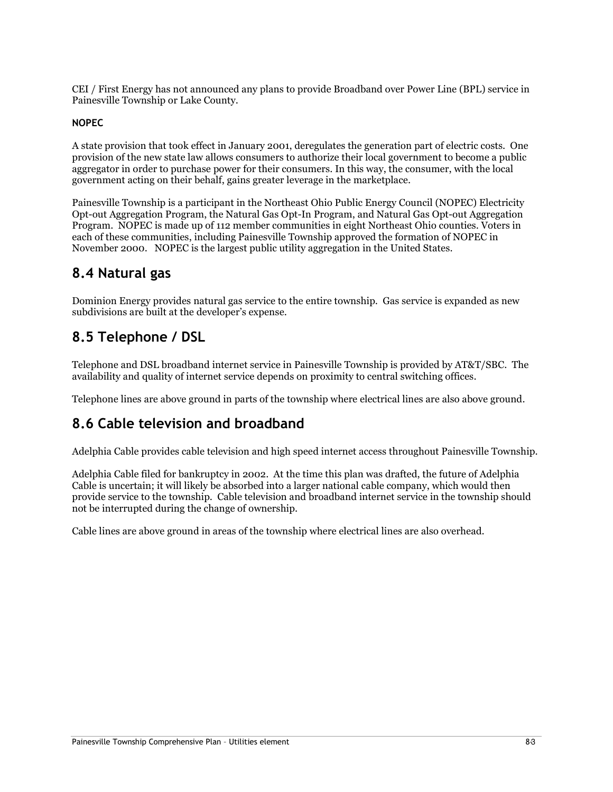CEI / First Energy has not announced any plans to provide Broadband over Power Line (BPL) service in Painesville Township or Lake County.

#### NOPEC

A state provision that took effect in January 2001, deregulates the generation part of electric costs. One provision of the new state law allows consumers to authorize their local government to become a public aggregator in order to purchase power for their consumers. In this way, the consumer, with the local government acting on their behalf, gains greater leverage in the marketplace.

Painesville Township is a participant in the Northeast Ohio Public Energy Council (NOPEC) Electricity Opt-out Aggregation Program, the Natural Gas Opt-In Program, and Natural Gas Opt-out Aggregation Program. NOPEC is made up of 112 member communities in eight Northeast Ohio counties. Voters in each of these communities, including Painesville Township approved the formation of NOPEC in November 2000. NOPEC is the largest public utility aggregation in the United States.

### 8.4 Natural gas

Dominion Energy provides natural gas service to the entire township. Gas service is expanded as new subdivisions are built at the developer's expense.

### 8.5 Telephone / DSL

Telephone and DSL broadband internet service in Painesville Township is provided by AT&T/SBC. The availability and quality of internet service depends on proximity to central switching offices.

Telephone lines are above ground in parts of the township where electrical lines are also above ground.

### 8.6 Cable television and broadband

Adelphia Cable provides cable television and high speed internet access throughout Painesville Township.

Adelphia Cable filed for bankruptcy in 2002. At the time this plan was drafted, the future of Adelphia Cable is uncertain; it will likely be absorbed into a larger national cable company, which would then provide service to the township. Cable television and broadband internet service in the township should not be interrupted during the change of ownership.

Cable lines are above ground in areas of the township where electrical lines are also overhead.